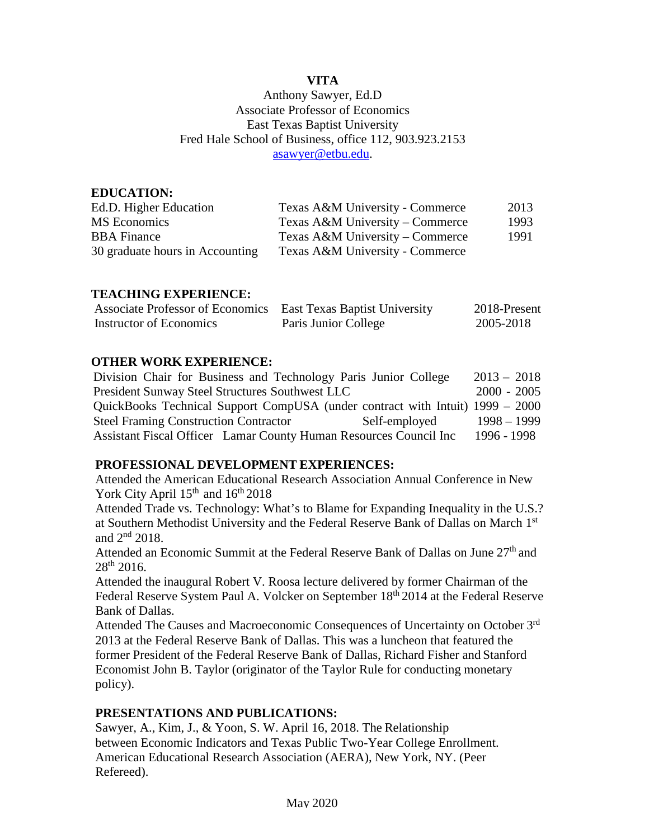# **VITA**

### Anthony Sawyer, Ed.D Associate Professor of Economics East Texas Baptist University Fred Hale School of Business, office 112, 903.923.2153 [asawyer@etbu.edu.](mailto:asawyer@etbu.edu)

| <b>EDUCATION:</b>               |                                 |      |
|---------------------------------|---------------------------------|------|
| Ed.D. Higher Education          | Texas A&M University - Commerce | 2013 |
| MS Economics                    | Texas A&M University – Commerce | 1993 |
| <b>BBA</b> Finance              | Texas A&M University – Commerce | 1991 |
| 30 graduate hours in Accounting | Texas A&M University - Commerce |      |

#### **TEACHING EXPERIENCE:**

| Associate Professor of Economics East Texas Baptist University |                      | 2018-Present |
|----------------------------------------------------------------|----------------------|--------------|
| Instructor of Economics                                        | Paris Junior College | 2005-2018    |

#### **OTHER WORK EXPERIENCE:**

| Division Chair for Business and Technology Paris Junior College               | $2013 - 2018$ |
|-------------------------------------------------------------------------------|---------------|
| President Sunway Steel Structures Southwest LLC                               | $2000 - 2005$ |
| QuickBooks Technical Support CompUSA (under contract with Intuit) 1999 – 2000 |               |
| <b>Steel Framing Construction Contractor</b><br>Self-employed                 | $1998 - 1999$ |
| Assistant Fiscal Officer Lamar County Human Resources Council Inc             | 1996 - 1998   |

#### **PROFESSIONAL DEVELOPMENT EXPERIENCES:**

Attended the American Educational Research Association Annual Conference in New York City April  $15<sup>th</sup>$  and  $16<sup>th</sup>$  2018

Attended Trade vs. Technology: What's to Blame for Expanding Inequality in the U.S.? at Southern Methodist University and the Federal Reserve Bank of Dallas on March 1st and 2nd 2018.

Attended an Economic Summit at the Federal Reserve Bank of Dallas on June  $27<sup>th</sup>$  and 28th 2016.

Attended the inaugural Robert V. Roosa lecture delivered by former Chairman of the Federal Reserve System Paul A. Volcker on September 18<sup>th</sup> 2014 at the Federal Reserve Bank of Dallas.

Attended The Causes and Macroeconomic Consequences of Uncertainty on October 3rd 2013 at the Federal Reserve Bank of Dallas. This was a luncheon that featured the former President of the Federal Reserve Bank of Dallas, Richard Fisher and Stanford Economist John B. Taylor (originator of the Taylor Rule for conducting monetary policy).

### **PRESENTATIONS AND PUBLICATIONS:**

Sawyer, A., Kim, J., & Yoon, S. W. April 16, 2018. The Relationship between Economic Indicators and Texas Public Two-Year College Enrollment. American Educational Research Association (AERA), New York, NY. (Peer Refereed).